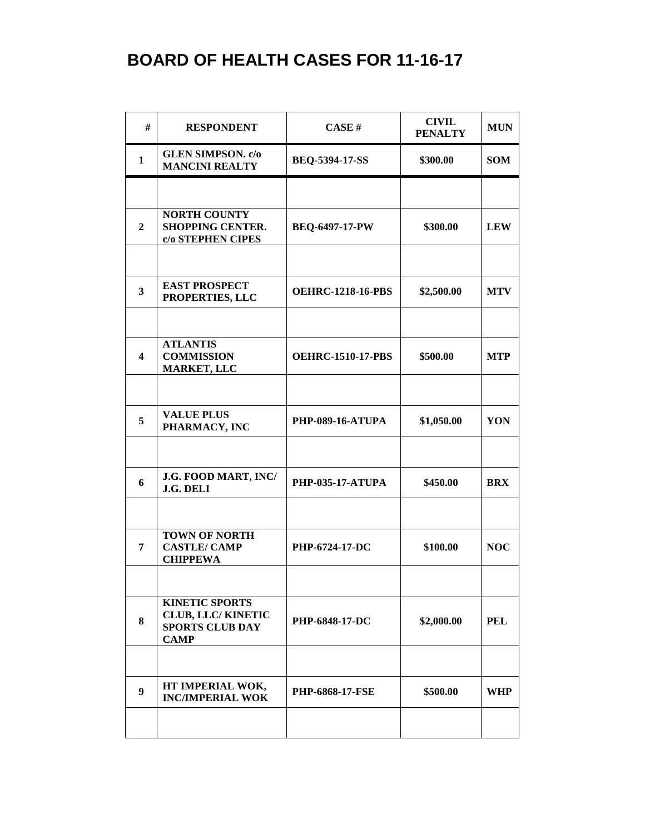## **BOARD OF HEALTH CASES FOR 11-16-17**

| #                       | <b>RESPONDENT</b>                                                                           | CASE#                    | <b>CIVIL</b><br><b>PENALTY</b> | <b>MUN</b> |
|-------------------------|---------------------------------------------------------------------------------------------|--------------------------|--------------------------------|------------|
| $\mathbf{1}$            | <b>GLEN SIMPSON.</b> c/o<br><b>MANCINI REALTY</b>                                           | <b>BEQ-5394-17-SS</b>    | \$300.00                       | <b>SOM</b> |
|                         |                                                                                             |                          |                                |            |
| $\overline{2}$          | <b>NORTH COUNTY</b><br><b>SHOPPING CENTER.</b><br>c/o STEPHEN CIPES                         | <b>BEQ-6497-17-PW</b>    | \$300.00                       | <b>LEW</b> |
|                         |                                                                                             |                          |                                |            |
| $\overline{\mathbf{3}}$ | <b>EAST PROSPECT</b><br>PROPERTIES, LLC                                                     | <b>OEHRC-1218-16-PBS</b> | \$2,500.00                     | <b>MTV</b> |
|                         |                                                                                             |                          |                                |            |
| $\overline{\mathbf{4}}$ | <b>ATLANTIS</b><br><b>COMMISSION</b><br><b>MARKET, LLC</b>                                  | <b>OEHRC-1510-17-PBS</b> | \$500.00                       | <b>MTP</b> |
|                         |                                                                                             |                          |                                |            |
| 5                       | <b>VALUE PLUS</b><br>PHARMACY, INC                                                          | <b>PHP-089-16-ATUPA</b>  | \$1,050.00                     | YON        |
|                         |                                                                                             |                          |                                |            |
| 6                       | J.G. FOOD MART, INC/<br>J.G. DELI                                                           | <b>PHP-035-17-ATUPA</b>  | \$450.00                       | <b>BRX</b> |
|                         |                                                                                             |                          |                                |            |
| 7                       | <b>TOWN OF NORTH</b><br><b>CASTLE/ CAMP</b><br><b>CHIPPEWA</b>                              | PHP-6724-17-DC           | \$100.00                       | <b>NOC</b> |
|                         |                                                                                             |                          |                                |            |
| 8                       | <b>KINETIC SPORTS</b><br><b>CLUB, LLC/ KINETIC</b><br><b>SPORTS CLUB DAY</b><br><b>CAMP</b> | <b>PHP-6848-17-DC</b>    | \$2,000.00                     | <b>PEL</b> |
|                         |                                                                                             |                          |                                |            |
| 9                       | HT IMPERIAL WOK,<br><b>INC/IMPERIAL WOK</b>                                                 | <b>PHP-6868-17-FSE</b>   | \$500.00                       | <b>WHP</b> |
|                         |                                                                                             |                          |                                |            |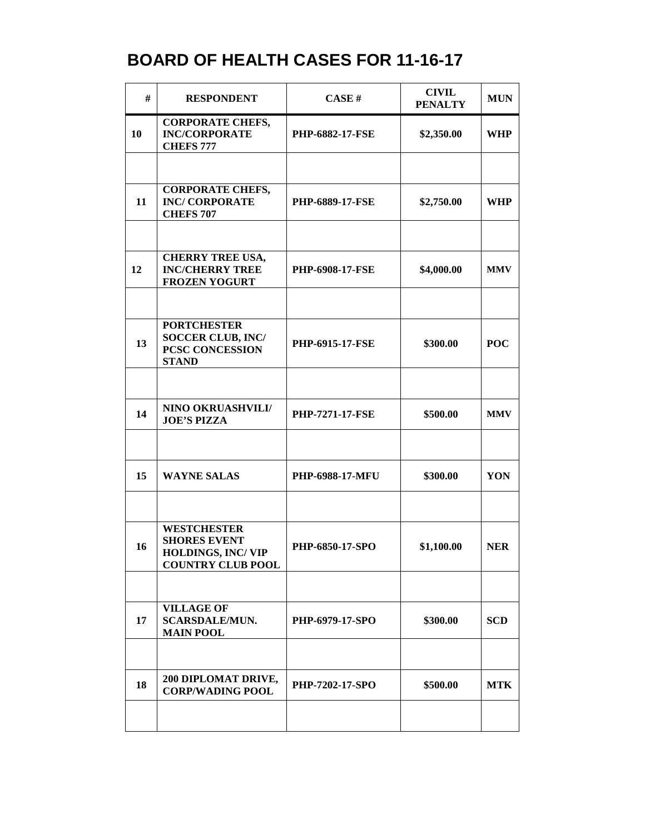## **BOARD OF HEALTH CASES FOR 11-16-17**

| #  | <b>RESPONDENT</b>                                                                                 | CASE H                 | <b>CIVIL</b><br><b>PENALTY</b> | <b>MUN</b> |
|----|---------------------------------------------------------------------------------------------------|------------------------|--------------------------------|------------|
| 10 | <b>CORPORATE CHEFS,</b><br><b>INC/CORPORATE</b><br><b>CHEFS 777</b>                               | <b>PHP-6882-17-FSE</b> | \$2,350.00                     | <b>WHP</b> |
|    |                                                                                                   |                        |                                |            |
| 11 | <b>CORPORATE CHEFS,</b><br><b>INC/ CORPORATE</b><br><b>CHEFS 707</b>                              | <b>PHP-6889-17-FSE</b> | \$2,750.00                     | <b>WHP</b> |
|    |                                                                                                   |                        |                                |            |
| 12 | <b>CHERRY TREE USA,</b><br><b>INC/CHERRY TREE</b><br><b>FROZEN YOGURT</b>                         | <b>PHP-6908-17-FSE</b> | \$4,000.00                     | <b>MMV</b> |
|    |                                                                                                   |                        |                                |            |
| 13 | <b>PORTCHESTER</b><br><b>SOCCER CLUB, INC/</b><br>PCSC CONCESSION<br><b>STAND</b>                 | PHP-6915-17-FSE        | \$300.00                       | <b>POC</b> |
|    |                                                                                                   |                        |                                |            |
| 14 | NINO OKRUASHVILI/<br><b>JOE'S PIZZA</b>                                                           | <b>PHP-7271-17-FSE</b> | \$500.00                       | <b>MMV</b> |
|    |                                                                                                   |                        |                                |            |
| 15 | <b>WAYNE SALAS</b>                                                                                | <b>PHP-6988-17-MFU</b> | \$300.00                       | YON        |
|    |                                                                                                   |                        |                                |            |
| 16 | <b>WESTCHESTER</b><br><b>SHORES EVENT</b><br><b>HOLDINGS, INC/VIP</b><br><b>COUNTRY CLUB POOL</b> | PHP-6850-17-SPO        | \$1,100.00                     | <b>NER</b> |
|    |                                                                                                   |                        |                                |            |
| 17 | <b>VILLAGE OF</b><br><b>SCARSDALE/MUN.</b><br><b>MAIN POOL</b>                                    | PHP-6979-17-SPO        | \$300.00                       | <b>SCD</b> |
|    |                                                                                                   |                        |                                |            |
| 18 | 200 DIPLOMAT DRIVE,<br><b>CORP/WADING POOL</b>                                                    | <b>PHP-7202-17-SPO</b> | \$500.00                       | <b>MTK</b> |
|    |                                                                                                   |                        |                                |            |